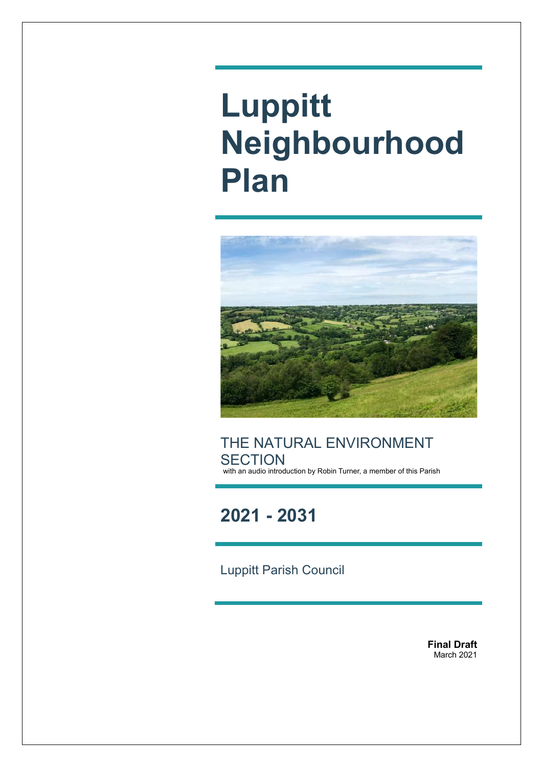# **Luppitt Neighbourhood Plan**



THE NATURAL ENVIRONMENT **SECTION** with an audio introduction by Robin Turner, a member of this Parish

**2021 - 2031**

Luppitt Parish Council

**Final Draft** March 2021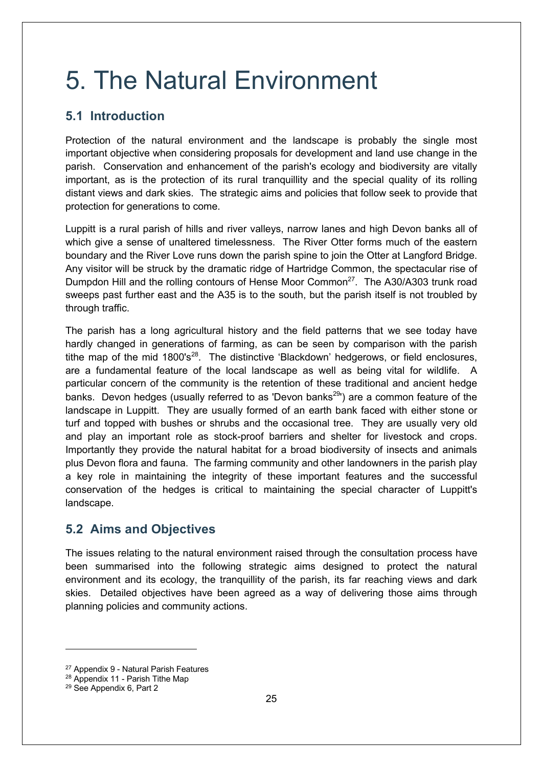# 5. The Natural Environment

## **5.1 Introduction**

Protection of the natural environment and the landscape is probably the single most important objective when considering proposals for development and land use change in the parish. Conservation and enhancement of the parish's ecology and biodiversity are vitally important, as is the protection of its rural tranquillity and the special quality of its rolling distant views and dark skies. The strategic aims and policies that follow seek to provide that protection for generations to come.

Luppitt is a rural parish of hills and river valleys, narrow lanes and high Devon banks all of which give a sense of unaltered timelessness. The River Otter forms much of the eastern boundary and the River Love runs down the parish spine to join the Otter at Langford Bridge. Any visitor will be struck by the dramatic ridge of Hartridge Common, the spectacular rise of Dumpdon Hill and the rolling contours of Hense Moor Common<sup>27</sup>. The A30/A303 trunk road sweeps past further east and the A35 is to the south, but the parish itself is not troubled by through traffic.

The parish has a long agricultural history and the field patterns that we see today have hardly changed in generations of farming, as can be seen by comparison with the parish tithe map of the mid  $1800's^{28}$ . The distinctive 'Blackdown' hedgerows, or field enclosures, are a fundamental feature of the local landscape as well as being vital for wildlife. A particular concern of the community is the retention of these traditional and ancient hedge banks. Devon hedges (usually referred to as 'Devon banks<sup>29</sup>') are a common feature of the landscape in Luppitt. They are usually formed of an earth bank faced with either stone or turf and topped with bushes or shrubs and the occasional tree. They are usually very old and play an important role as stock-proof barriers and shelter for livestock and crops. Importantly they provide the natural habitat for a broad biodiversity of insects and animals plus Devon flora and fauna. The farming community and other landowners in the parish play a key role in maintaining the integrity of these important features and the successful conservation of the hedges is critical to maintaining the special character of Luppitt's landscape.

#### **5.2 Aims and Objectives**

The issues relating to the natural environment raised through the consultation process have been summarised into the following strategic aims designed to protect the natural environment and its ecology, the tranquillity of the parish, its far reaching views and dark skies. Detailed objectives have been agreed as a way of delivering those aims through planning policies and community actions.

<sup>27</sup> Appendix 9 - Natural Parish Features

<sup>28</sup> Appendix 11 - Parish Tithe Map

<sup>29</sup> See Appendix 6, Part 2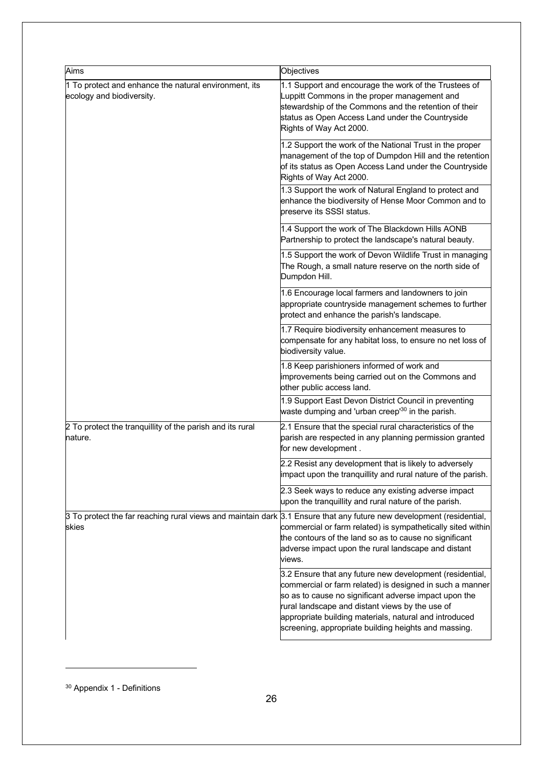| Aims                                                                                                                          | Objectives                                                                                                                                                                                                                                                                                                                                         |
|-------------------------------------------------------------------------------------------------------------------------------|----------------------------------------------------------------------------------------------------------------------------------------------------------------------------------------------------------------------------------------------------------------------------------------------------------------------------------------------------|
| 1 To protect and enhance the natural environment, its<br>ecology and biodiversity.                                            | 1.1 Support and encourage the work of the Trustees of<br>Luppitt Commons in the proper management and<br>stewardship of the Commons and the retention of their<br>status as Open Access Land under the Countryside<br>Rights of Way Act 2000.                                                                                                      |
|                                                                                                                               | 1.2 Support the work of the National Trust in the proper<br>management of the top of Dumpdon Hill and the retention<br>of its status as Open Access Land under the Countryside<br>Rights of Way Act 2000.                                                                                                                                          |
|                                                                                                                               | 1.3 Support the work of Natural England to protect and<br>enhance the biodiversity of Hense Moor Common and to<br>preserve its SSSI status.                                                                                                                                                                                                        |
|                                                                                                                               | 1.4 Support the work of The Blackdown Hills AONB<br>Partnership to protect the landscape's natural beauty.                                                                                                                                                                                                                                         |
|                                                                                                                               | 1.5 Support the work of Devon Wildlife Trust in managing<br>The Rough, a small nature reserve on the north side of<br>Dumpdon Hill.                                                                                                                                                                                                                |
|                                                                                                                               | 1.6 Encourage local farmers and landowners to join<br>appropriate countryside management schemes to further<br>protect and enhance the parish's landscape.                                                                                                                                                                                         |
|                                                                                                                               | 1.7 Require biodiversity enhancement measures to<br>compensate for any habitat loss, to ensure no net loss of<br>biodiversity value.                                                                                                                                                                                                               |
|                                                                                                                               | 1.8 Keep parishioners informed of work and<br>improvements being carried out on the Commons and<br>other public access land.                                                                                                                                                                                                                       |
|                                                                                                                               | 1.9 Support East Devon District Council in preventing<br>waste dumping and 'urban creep' <sup>30</sup> in the parish.                                                                                                                                                                                                                              |
| 2 To protect the tranquillity of the parish and its rural<br>nature.                                                          | 2.1 Ensure that the special rural characteristics of the<br>parish are respected in any planning permission granted<br>for new development.                                                                                                                                                                                                        |
|                                                                                                                               | 2.2 Resist any development that is likely to adversely<br>limpact upon the tranquillity and rural nature of the parish.                                                                                                                                                                                                                            |
|                                                                                                                               | 2.3 Seek ways to reduce any existing adverse impact<br>upon the tranguillity and rural nature of the parish.                                                                                                                                                                                                                                       |
| 3 To protect the far reaching rural views and maintain dark 3.1 Ensure that any future new development (residential,<br>skies | commercial or farm related) is sympathetically sited within<br>the contours of the land so as to cause no significant<br>adverse impact upon the rural landscape and distant<br>views.                                                                                                                                                             |
|                                                                                                                               | 3.2 Ensure that any future new development (residential,<br>commercial or farm related) is designed in such a manner<br>so as to cause no significant adverse impact upon the<br>rural landscape and distant views by the use of<br>appropriate building materials, natural and introduced<br>screening, appropriate building heights and massing. |

<sup>30</sup> Appendix 1 - Definitions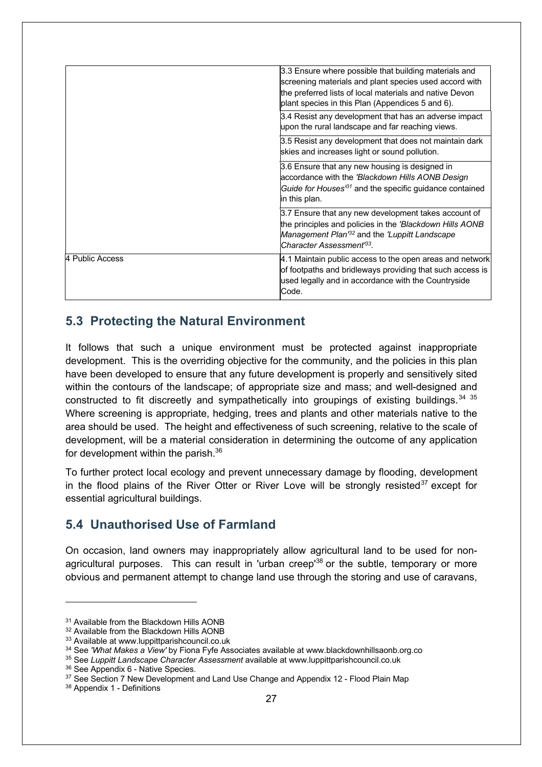|                 | 3.3 Ensure where possible that building materials and<br>screening materials and plant species used accord with<br>the preferred lists of local materials and native Devon<br>plant species in this Plan (Appendices 5 and 6). |
|-----------------|--------------------------------------------------------------------------------------------------------------------------------------------------------------------------------------------------------------------------------|
|                 | 3.4 Resist any development that has an adverse impact<br>upon the rural landscape and far reaching views.                                                                                                                      |
|                 | 3.5 Resist any development that does not maintain dark<br>skies and increases light or sound pollution.                                                                                                                        |
|                 | 3.6 Ensure that any new housing is designed in<br>accordance with the 'Blackdown Hills AONB Design<br>Guide for Houses <sup>31</sup> and the specific guidance contained<br>in this plan.                                      |
|                 | 3.7 Ensure that any new development takes account of<br>the principles and policies in the 'Blackdown Hills AONB<br>Management Plan <sup>132</sup> and the 'Luppitt Landscape<br>Character Assessment <sup>63</sup> .          |
| 4 Public Access | 4.1 Maintain public access to the open areas and network<br>of footpaths and bridleways providing that such access is<br>used legally and in accordance with the Countryside<br>Code.                                          |

#### **5.3 Protecting the Natural Environment**

It follows that such a unique environment must be protected against inappropriate development. This is the overriding objective for the community, and the policies in this plan have been developed to ensure that any future development is properly and sensitively sited within the contours of the landscape; of appropriate size and mass; and well-designed and constructed to fit discreetly and sympathetically into groupings of existing buildings.  $34^{35}$ Where screening is appropriate, hedging, trees and plants and other materials native to the area should be used. The height and effectiveness of such screening, relative to the scale of development, will be a material consideration in determining the outcome of any application for development within the parish.<sup>36</sup>

To further protect local ecology and prevent unnecessary damage by flooding, development in the flood plains of the River Otter or River Love will be strongly resisted $37$  except for essential agricultural buildings.

#### **5.4 Unauthorised Use of Farmland**

On occasion, land owners may inappropriately allow agricultural land to be used for nonagricultural purposes. This can result in 'urban creep<sup>38</sup> or the subtle, temporary or more obvious and permanent attempt to change land use through the storing and use of caravans,

<sup>&</sup>lt;sup>31</sup> Available from the Blackdown Hills AONB

<sup>&</sup>lt;sup>32</sup> Available from the Blackdown Hills AONB

<sup>33</sup> Available at www.luppittparishcouncil.co.uk

<sup>34</sup> See *'What Makes a View'* by Fiona Fyfe Associates available at www.blackdownhillsaonb.org.co

<sup>35</sup> See *Luppitt Landscape Character Assessment* available at www.luppittparishcouncil.co.uk

<sup>36</sup> See Appendix 6 - Native Species.

<sup>&</sup>lt;sup>37</sup> See Section 7 New Development and Land Use Change and Appendix 12 - Flood Plain Map

<sup>38</sup> Appendix 1 - Definitions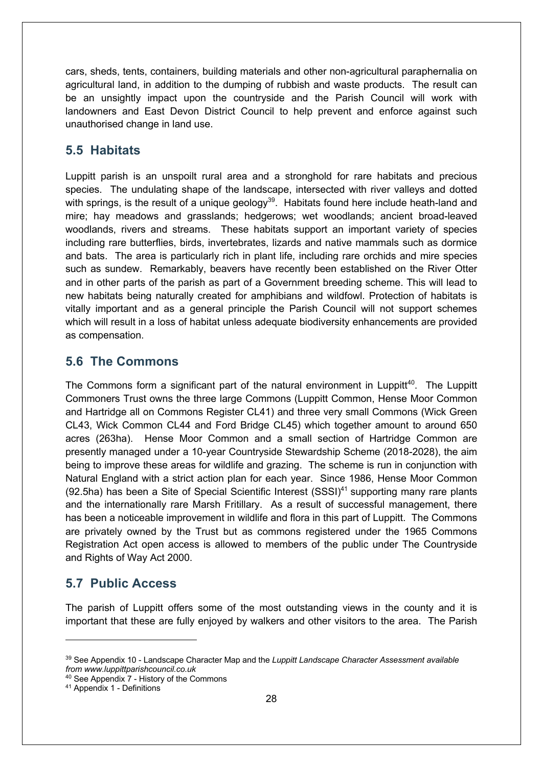cars, sheds, tents, containers, building materials and other non-agricultural paraphernalia on agricultural land, in addition to the dumping of rubbish and waste products. The result can be an unsightly impact upon the countryside and the Parish Council will work with landowners and East Devon District Council to help prevent and enforce against such unauthorised change in land use.

#### **5.5 Habitats**

Luppitt parish is an unspoilt rural area and a stronghold for rare habitats and precious species. The undulating shape of the landscape, intersected with river valleys and dotted with springs, is the result of a unique geology<sup>39</sup>. Habitats found here include heath-land and mire; hay meadows and grasslands; hedgerows; wet woodlands; ancient broad-leaved woodlands, rivers and streams. These habitats support an important variety of species including rare butterflies, birds, invertebrates, lizards and native mammals such as dormice and bats. The area is particularly rich in plant life, including rare orchids and mire species such as sundew. Remarkably, beavers have recently been established on the River Otter and in other parts of the parish as part of a Government breeding scheme. This will lead to new habitats being naturally created for amphibians and wildfowl. Protection of habitats is vitally important and as a general principle the Parish Council will not support schemes which will result in a loss of habitat unless adequate biodiversity enhancements are provided as compensation.

#### **5.6 The Commons**

The Commons form a significant part of the natural environment in Luppitt<sup>40</sup>. The Luppitt Commoners Trust owns the three large Commons (Luppitt Common, Hense Moor Common and Hartridge all on Commons Register CL41) and three very small Commons (Wick Green CL43, Wick Common CL44 and Ford Bridge CL45) which together amount to around 650 acres (263ha). Hense Moor Common and a small section of Hartridge Common are presently managed under a 10-year Countryside Stewardship Scheme (2018-2028), the aim being to improve these areas for wildlife and grazing. The scheme is run in conjunction with Natural England with a strict action plan for each year. Since 1986, Hense Moor Common (92.5ha) has been a Site of Special Scientific Interest  $(SSSI)^{41}$  supporting many rare plants and the internationally rare Marsh Fritillary. As a result of successful management, there has been a noticeable improvement in wildlife and flora in this part of Luppitt. The Commons are privately owned by the Trust but as commons registered under the 1965 Commons Registration Act open access is allowed to members of the public under The Countryside and Rights of Way Act 2000.

#### **5.7 Public Access**

The parish of Luppitt offers some of the most outstanding views in the county and it is important that these are fully enjoyed by walkers and other visitors to the area. The Parish

<sup>39</sup> See Appendix 10 - Landscape Character Map and the *Luppitt Landscape Character Assessment available from www.luppittparishcouncil.co.uk*

<sup>40</sup> See Appendix 7 - History of the Commons

<sup>41</sup> Appendix 1 - Definitions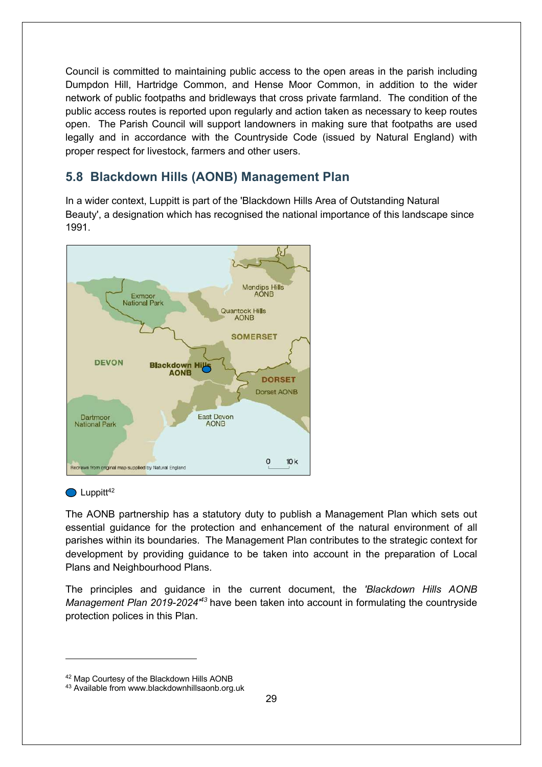Council is committed to maintaining public access to the open areas in the parish including Dumpdon Hill, Hartridge Common, and Hense Moor Common, in addition to the wider network of public footpaths and bridleways that cross private farmland. The condition of the public access routes is reported upon regularly and action taken as necessary to keep routes open. The Parish Council will support landowners in making sure that footpaths are used legally and in accordance with the Countryside Code (issued by Natural England) with proper respect for livestock, farmers and other users.

#### **5.8 Blackdown Hills (AONB) Management Plan**

In a wider context, Luppitt is part of the 'Blackdown Hills Area of Outstanding Natural Beauty', a designation which has recognised the national importance of this landscape since 1991.



#### $\bigcirc$  Luppitt<sup>42</sup>

The AONB partnership has a statutory duty to publish a Management Plan which sets out essential guidance for the protection and enhancement of the natural environment of all parishes within its boundaries. The Management Plan contributes to the strategic context for development by providing guidance to be taken into account in the preparation of Local Plans and Neighbourhood Plans.

The principles and guidance in the current document, the *'Blackdown Hills AONB*  Management Plan 2019-2024<sup> $#3$ </sup> have been taken into account in formulating the countryside protection polices in this Plan.

<sup>42</sup> Map Courtesy of the Blackdown Hills AONB

<sup>43</sup> Available from www.blackdownhillsaonb.org.uk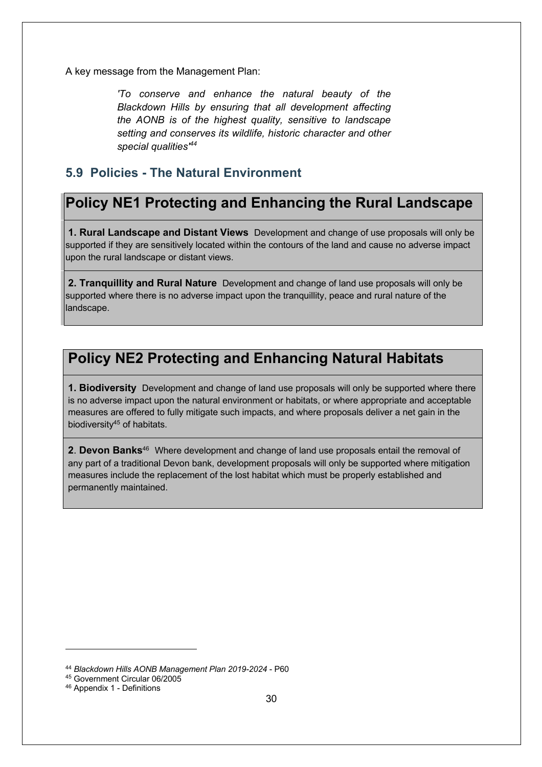A key message from the Management Plan:

*'To conserve and enhance the natural beauty of the Blackdown Hills by ensuring that all development affecting the AONB is of the highest quality, sensitive to landscape setting and conserves its wildlife, historic character and other special qualities' 44*

#### **5.9 Policies - The Natural Environment**

# **Policy NE1 Protecting and Enhancing the Rural Landscape**

**1. Rural Landscape and Distant Views** Development and change of use proposals will only be supported if they are sensitively located within the contours of the land and cause no adverse impact upon the rural landscape or distant views.

**2. Tranquillity and Rural Nature** Development and change of land use proposals will only be supported where there is no adverse impact upon the tranquillity, peace and rural nature of the landscape.

# **Policy NE2 Protecting and Enhancing Natural Habitats**

**1. Biodiversity** Development and change of land use proposals will only be supported where there is no adverse impact upon the natural environment or habitats, or where appropriate and acceptable measures are offered to fully mitigate such impacts, and where proposals deliver a net gain in the biodiversity<sup>45</sup> of habitats.

**2**. **Devon Banks**<sup>46</sup> Where development and change of land use proposals entail the removal of any part of a traditional Devon bank, development proposals will only be supported where mitigation measures include the replacement of the lost habitat which must be properly established and permanently maintained.

<sup>44</sup> *Blackdown Hills AONB Management Plan 2019-2024* - P60

<sup>45</sup> Government Circular 06/2005

<sup>46</sup> Appendix 1 - Definitions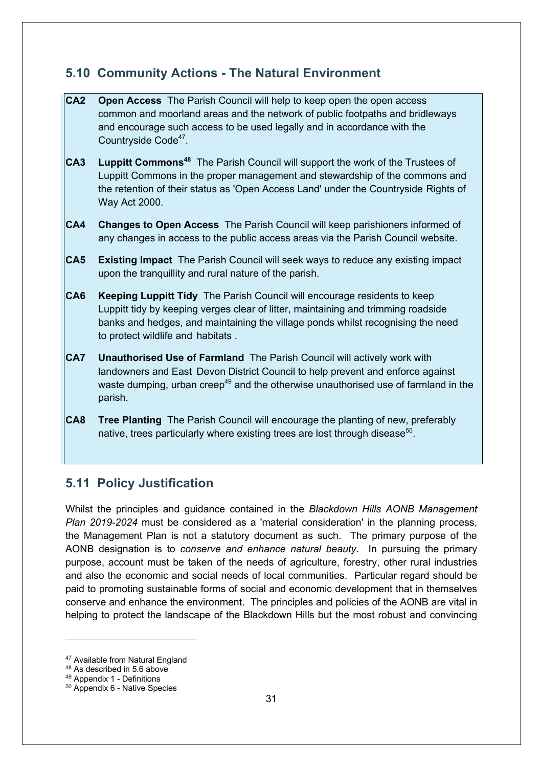#### **5.10 Community Actions - The Natural Environment**

**CA2 Open Access** The Parish Council will help to keep open the open access common and moorland areas and the network of public footpaths and bridleways and encourage such access to be used legally and in accordance with the Countryside Code<sup>47</sup>. **CA3** Luppitt Commons<sup>48</sup> The Parish Council will support the work of the Trustees of Luppitt Commons in the proper management and stewardship of the commons and the retention of their status as 'Open Access Land' under the Countryside Rights of Way Act 2000. **CA4 Changes to Open Access** The Parish Council will keep parishioners informed of any changes in access to the public access areas via the Parish Council website. **CA5 Existing Impact** The Parish Council will seek ways to reduce any existing impact upon the tranquillity and rural nature of the parish. **CA6 Keeping Luppitt Tidy** The Parish Council will encourage residents to keep Luppitt tidy by keeping verges clear of litter, maintaining and trimming roadside banks and hedges, and maintaining the village ponds whilst recognising the need to protect wildlife and habitats . **CA7 Unauthorised Use of Farmland** The Parish Council will actively work with landowners and East Devon District Council to help prevent and enforce against waste dumping, urban creep<sup>49</sup> and the otherwise unauthorised use of farmland in the parish. **CA8 Tree Planting** The Parish Council will encourage the planting of new, preferably native, trees particularly where existing trees are lost through disease<sup>50</sup>.

### **5.11 Policy Justification**

Whilst the principles and guidance contained in the *Blackdown Hills AONB Management Plan 2019-2024* must be considered as a 'material consideration' in the planning process, the Management Plan is not a statutory document as such. The primary purpose of the AONB designation is to *conserve and enhance natural beauty*. In pursuing the primary purpose, account must be taken of the needs of agriculture, forestry, other rural industries and also the economic and social needs of local communities. Particular regard should be paid to promoting sustainable forms of social and economic development that in themselves conserve and enhance the environment. The principles and policies of the AONB are vital in helping to protect the landscape of the Blackdown Hills but the most robust and convincing

<sup>&</sup>lt;sup>47</sup> Available from Natural England

<sup>48</sup> As described in 5.6 above

<sup>49</sup> Appendix 1 - Definitions

<sup>50</sup> Appendix 6 - Native Species